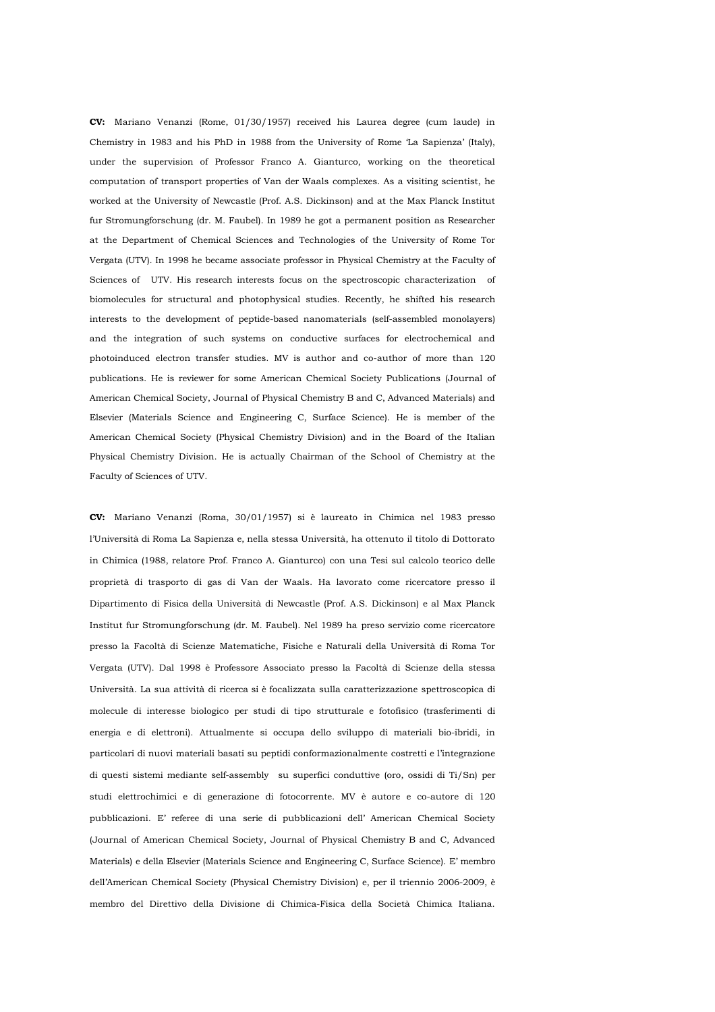**CV:** Mariano Venanzi (Rome, 01/30/1957) received his Laurea degree (cum laude) in Chemistry in 1983 and his PhD in 1988 from the University of Rome 'La Sapienza' (Italy), under the supervision of Professor Franco A. Gianturco, working on the theoretical computation of transport properties of Van der Waals complexes. As a visiting scientist, he worked at the University of Newcastle (Prof. A.S. Dickinson) and at the Max Planck Institut fur Stromungforschung (dr. M. Faubel). In 1989 he got a permanent position as Researcher at the Department of Chemical Sciences and Technologies of the University of Rome Tor Vergata (UTV). In 1998 he became associate professor in Physical Chemistry at the Faculty of Sciences of UTV. His research interests focus on the spectroscopic characterization of biomolecules for structural and photophysical studies. Recently, he shifted his research interests to the development of peptide-based nanomaterials (self-assembled monolayers) and the integration of such systems on conductive surfaces for electrochemical and photoinduced electron transfer studies. MV is author and co-author of more than 120 publications. He is reviewer for some American Chemical Society Publications (Journal of American Chemical Society, Journal of Physical Chemistry B and C, Advanced Materials) and Elsevier (Materials Science and Engineering C, Surface Science). He is member of the American Chemical Society (Physical Chemistry Division) and in the Board of the Italian Physical Chemistry Division. He is actually Chairman of the School of Chemistry at the Faculty of Sciences of UTV.

**CV:** Mariano Venanzi (Roma, 30/01/1957) si è laureato in Chimica nel 1983 presso l'Università di Roma La Sapienza e, nella stessa Università, ha ottenuto il titolo di Dottorato in Chimica (1988, relatore Prof. Franco A. Gianturco) con una Tesi sul calcolo teorico delle proprietà di trasporto di gas di Van der Waals. Ha lavorato come ricercatore presso il Dipartimento di Fisica della Università di Newcastle (Prof. A.S. Dickinson) e al Max Planck Institut fur Stromungforschung (dr. M. Faubel). Nel 1989 ha preso servizio come ricercatore presso la Facoltà di Scienze Matematiche, Fisiche e Naturali della Università di Roma Tor Vergata (UTV). Dal 1998 è Professore Associato presso la Facoltà di Scienze della stessa Università. La sua attività di ricerca si è focalizzata sulla caratterizzazione spettroscopica di molecule di interesse biologico per studi di tipo strutturale e fotofisico (trasferimenti di energia e di elettroni). Attualmente si occupa dello sviluppo di materiali bio-ibridi, in particolari di nuovi materiali basati su peptidi conformazionalmente costretti e l'integrazione di questi sistemi mediante self-assembly su superfici conduttive (oro, ossidi di Ti/Sn) per studi elettrochimici e di generazione di fotocorrente. MV è autore e co-autore di 120 pubblicazioni. E' referee di una serie di pubblicazioni dell' American Chemical Society (Journal of American Chemical Society, Journal of Physical Chemistry B and C, Advanced Materials) e della Elsevier (Materials Science and Engineering C, Surface Science). E' membro dell'American Chemical Society (Physical Chemistry Division) e, per il triennio 2006-2009, è membro del Direttivo della Divisione di Chimica-Fisica della Società Chimica Italiana.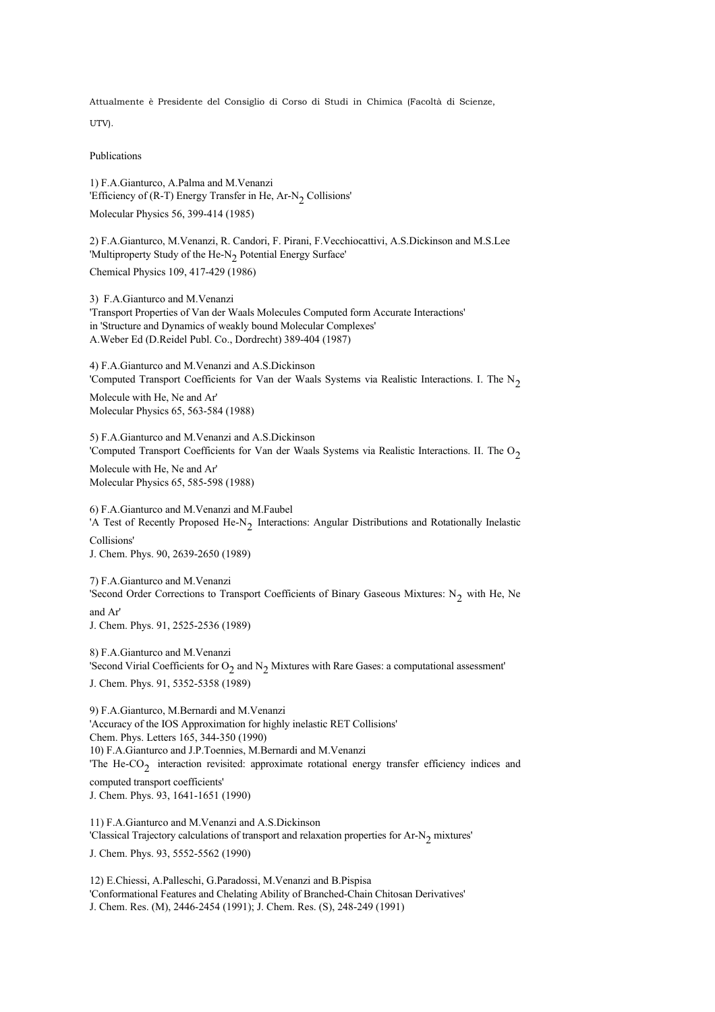Attualmente è Presidente del Consiglio di Corso di Studi in Chimica (Facoltà di Scienze,

UTV).

Publications

1) F.A.Gianturco, A.Palma and M.Venanzi 'Efficiency of (R-T) Energy Transfer in He,  $Ar-N<sub>2</sub>$  Collisions' Molecular Physics 56, 399-414 (1985)

2) F.A.Gianturco, M.Venanzi, R. Candori, F. Pirani, F.Vecchiocattivi, A.S.Dickinson and M.S.Lee 'Multiproperty Study of the He-N<sub>2</sub> Potential Energy Surface'

Chemical Physics 109, 417-429 (1986)

3) F.A.Gianturco and M.Venanzi 'Transport Properties of Van der Waals Molecules Computed form Accurate Interactions' in 'Structure and Dynamics of weakly bound Molecular Complexes' A.Weber Ed (D.Reidel Publ. Co., Dordrecht) 389-404 (1987)

4) F.A.Gianturco and M.Venanzi and A.S.Dickinson 'Computed Transport Coefficients for Van der Waals Systems via Realistic Interactions. I. The  $N<sub>2</sub>$ 

Molecule with He, Ne and Ar' Molecular Physics 65, 563-584 (1988)

5) F.A.Gianturco and M.Venanzi and A.S.Dickinson 'Computed Transport Coefficients for Van der Waals Systems via Realistic Interactions. II. The O<sub>2</sub>

Molecule with He, Ne and Ar' Molecular Physics 65, 585-598 (1988)

6) F.A.Gianturco and M.Venanzi and M.Faubel 'A Test of Recently Proposed He-N<sub>2</sub> Interactions: Angular Distributions and Rotationally Inelastic Collisions' J. Chem. Phys. 90, 2639-2650 (1989)

7) F.A.Gianturco and M.Venanzi 'Second Order Corrections to Transport Coefficients of Binary Gaseous Mixtures:  $N_2$  with He, Ne and Ar' J. Chem. Phys. 91, 2525-2536 (1989)

8) F.A.Gianturco and M.Venanzi 'Second Virial Coefficients for  $O_2$  and  $N_2$  Mixtures with Rare Gases: a computational assessment' J. Chem. Phys. 91, 5352-5358 (1989)

9) F.A.Gianturco, M.Bernardi and M.Venanzi 'Accuracy of the IOS Approximation for highly inelastic RET Collisions' Chem. Phys. Letters 165, 344-350 (1990) 10) F.A.Gianturco and J.P.Toennies, M.Bernardi and M.Venanzi The He-CO<sub>2</sub> interaction revisited: approximate rotational energy transfer efficiency indices and computed transport coefficients' J. Chem. Phys. 93, 1641-1651 (1990)

11) F.A.Gianturco and M.Venanzi and A.S.Dickinson 'Classical Trajectory calculations of transport and relaxation properties for Ar-N<sub>2</sub> mixtures'

J. Chem. Phys. 93, 5552-5562 (1990)

12) E.Chiessi, A.Palleschi, G.Paradossi, M.Venanzi and B.Pispisa 'Conformational Features and Chelating Ability of Branched-Chain Chitosan Derivatives' J. Chem. Res. (M), 2446-2454 (1991); J. Chem. Res. (S), 248-249 (1991)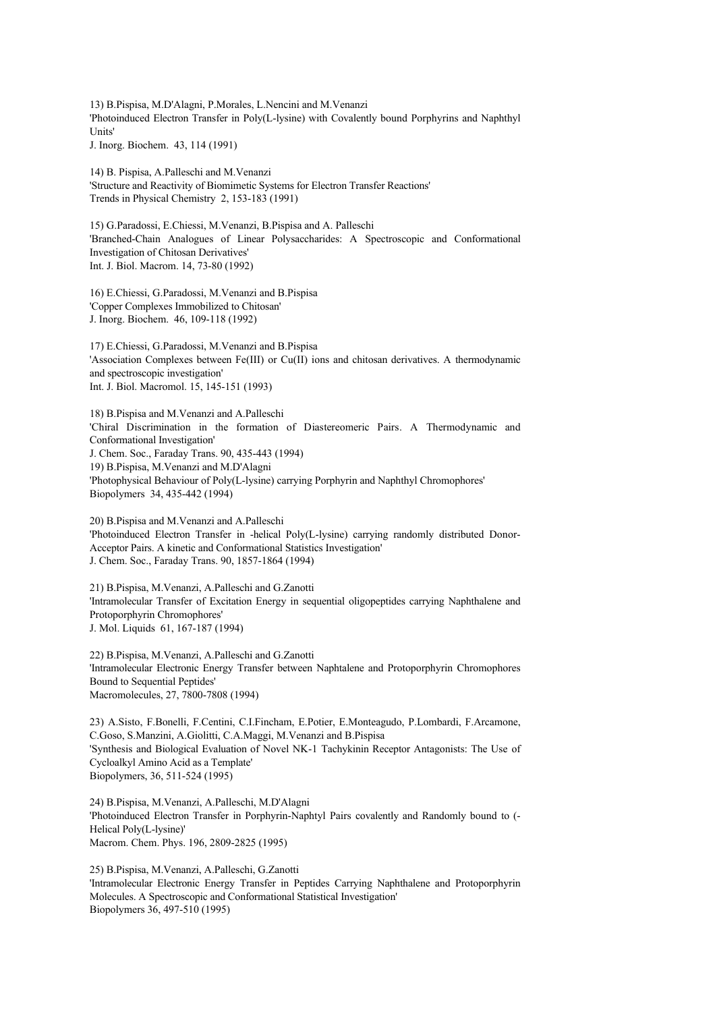13) B.Pispisa, M.D'Alagni, P.Morales, L.Nencini and M.Venanzi 'Photoinduced Electron Transfer in Poly(L-lysine) with Covalently bound Porphyrins and Naphthyl Units'

J. Inorg. Biochem. 43, 114 (1991)

14) B. Pispisa, A.Palleschi and M.Venanzi 'Structure and Reactivity of Biomimetic Systems for Electron Transfer Reactions' Trends in Physical Chemistry 2, 153-183 (1991)

15) G.Paradossi, E.Chiessi, M.Venanzi, B.Pispisa and A. Palleschi 'Branched-Chain Analogues of Linear Polysaccharides: A Spectroscopic and Conformational Investigation of Chitosan Derivatives' Int. J. Biol. Macrom. 14, 73-80 (1992)

16) E.Chiessi, G.Paradossi, M.Venanzi and B.Pispisa 'Copper Complexes Immobilized to Chitosan' J. Inorg. Biochem. 46, 109-118 (1992)

17) E.Chiessi, G.Paradossi, M.Venanzi and B.Pispisa 'Association Complexes between Fe(III) or Cu(II) ions and chitosan derivatives. A thermodynamic and spectroscopic investigation' Int. J. Biol. Macromol. 15, 145-151 (1993)

18) B.Pispisa and M.Venanzi and A.Palleschi 'Chiral Discrimination in the formation of Diastereomeric Pairs. A Thermodynamic and Conformational Investigation' J. Chem. Soc., Faraday Trans. 90, 435-443 (1994) 19) B.Pispisa, M.Venanzi and M.D'Alagni 'Photophysical Behaviour of Poly(L-lysine) carrying Porphyrin and Naphthyl Chromophores' Biopolymers 34, 435-442 (1994)

20) B.Pispisa and M.Venanzi and A.Palleschi 'Photoinduced Electron Transfer in -helical Poly(L-lysine) carrying randomly distributed Donor-Acceptor Pairs. A kinetic and Conformational Statistics Investigation' J. Chem. Soc., Faraday Trans. 90, 1857-1864 (1994)

21) B.Pispisa, M.Venanzi, A.Palleschi and G.Zanotti 'Intramolecular Transfer of Excitation Energy in sequential oligopeptides carrying Naphthalene and Protoporphyrin Chromophores' J. Mol. Liquids 61, 167-187 (1994)

22) B.Pispisa, M.Venanzi, A.Palleschi and G.Zanotti 'Intramolecular Electronic Energy Transfer between Naphtalene and Protoporphyrin Chromophores Bound to Sequential Peptides' Macromolecules, 27, 7800-7808 (1994)

23) A.Sisto, F.Bonelli, F.Centini, C.I.Fincham, E.Potier, E.Monteagudo, P.Lombardi, F.Arcamone, C.Goso, S.Manzini, A.Giolitti, C.A.Maggi, M.Venanzi and B.Pispisa 'Synthesis and Biological Evaluation of Novel NK-1 Tachykinin Receptor Antagonists: The Use of Cycloalkyl Amino Acid as a Template' Biopolymers, 36, 511-524 (1995)

24) B.Pispisa, M.Venanzi, A.Palleschi, M.D'Alagni 'Photoinduced Electron Transfer in Porphyrin-Naphtyl Pairs covalently and Randomly bound to (- Helical Poly(L-lysine)' Macrom. Chem. Phys. 196, 2809-2825 (1995)

25) B.Pispisa, M.Venanzi, A.Palleschi, G.Zanotti 'Intramolecular Electronic Energy Transfer in Peptides Carrying Naphthalene and Protoporphyrin Molecules. A Spectroscopic and Conformational Statistical Investigation' Biopolymers 36, 497-510 (1995)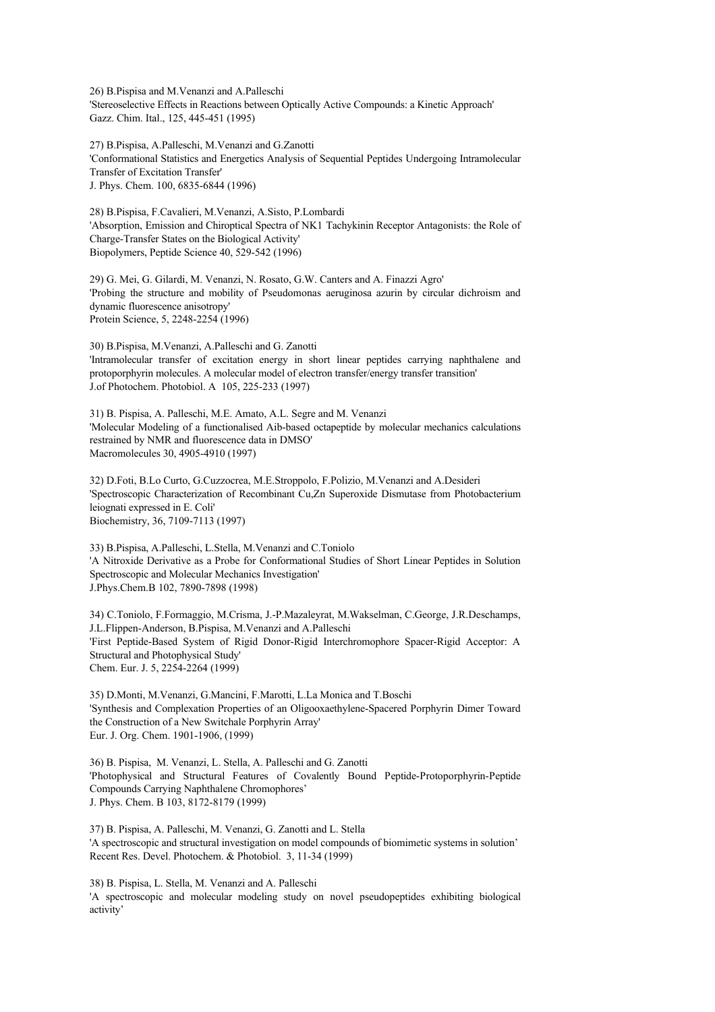26) B.Pispisa and M.Venanzi and A.Palleschi 'Stereoselective Effects in Reactions between Optically Active Compounds: a Kinetic Approach' Gazz. Chim. Ital., 125, 445-451 (1995)

27) B.Pispisa, A.Palleschi, M.Venanzi and G.Zanotti 'Conformational Statistics and Energetics Analysis of Sequential Peptides Undergoing Intramolecular Transfer of Excitation Transfer' J. Phys. Chem. 100, 6835-6844 (1996)

28) B.Pispisa, F.Cavalieri, M.Venanzi, A.Sisto, P.Lombardi 'Absorption, Emission and Chiroptical Spectra of NK1 Tachykinin Receptor Antagonists: the Role of Charge-Transfer States on the Biological Activity' Biopolymers, Peptide Science 40, 529-542 (1996)

29) G. Mei, G. Gilardi, M. Venanzi, N. Rosato, G.W. Canters and A. Finazzi Agro' 'Probing the structure and mobility of Pseudomonas aeruginosa azurin by circular dichroism and dynamic fluorescence anisotropy' Protein Science, 5, 2248-2254 (1996)

30) B.Pispisa, M.Venanzi, A.Palleschi and G. Zanotti 'Intramolecular transfer of excitation energy in short linear peptides carrying naphthalene and protoporphyrin molecules. A molecular model of electron transfer/energy transfer transition' J.of Photochem. Photobiol. A 105, 225-233 (1997)

31) B. Pispisa, A. Palleschi, M.E. Amato, A.L. Segre and M. Venanzi 'Molecular Modeling of a functionalised Aib-based octapeptide by molecular mechanics calculations restrained by NMR and fluorescence data in DMSO' Macromolecules 30, 4905-4910 (1997)

32) D.Foti, B.Lo Curto, G.Cuzzocrea, M.E.Stroppolo, F.Polizio, M.Venanzi and A.Desideri 'Spectroscopic Characterization of Recombinant Cu,Zn Superoxide Dismutase from Photobacterium leiognati expressed in E. Coli' Biochemistry, 36, 7109-7113 (1997)

33) B.Pispisa, A.Palleschi, L.Stella, M.Venanzi and C.Toniolo 'A Nitroxide Derivative as a Probe for Conformational Studies of Short Linear Peptides in Solution Spectroscopic and Molecular Mechanics Investigation' J.Phys.Chem.B 102, 7890-7898 (1998)

34) C.Toniolo, F.Formaggio, M.Crisma, J.-P.Mazaleyrat, M.Wakselman, C.George, J.R.Deschamps, J.L.Flippen-Anderson, B.Pispisa, M.Venanzi and A.Palleschi 'First Peptide-Based System of Rigid Donor-Rigid Interchromophore Spacer-Rigid Acceptor: A Structural and Photophysical Study' Chem. Eur. J. 5, 2254-2264 (1999)

35) D.Monti, M.Venanzi, G.Mancini, F.Marotti, L.La Monica and T.Boschi 'Synthesis and Complexation Properties of an Oligooxaethylene-Spacered Porphyrin Dimer Toward the Construction of a New Switchale Porphyrin Array' Eur. J. Org. Chem. 1901-1906, (1999)

36) B. Pispisa, M. Venanzi, L. Stella, A. Palleschi and G. Zanotti 'Photophysical and Structural Features of Covalently Bound Peptide-Protoporphyrin-Peptide Compounds Carrying Naphthalene Chromophores' J. Phys. Chem. B 103, 8172-8179 (1999)

37) B. Pispisa, A. Palleschi, M. Venanzi, G. Zanotti and L. Stella 'A spectroscopic and structural investigation on model compounds of biomimetic systems in solution' Recent Res. Devel. Photochem. & Photobiol. 3, 11-34 (1999)

38) B. Pispisa, L. Stella, M. Venanzi and A. Palleschi 'A spectroscopic and molecular modeling study on novel pseudopeptides exhibiting biological activity'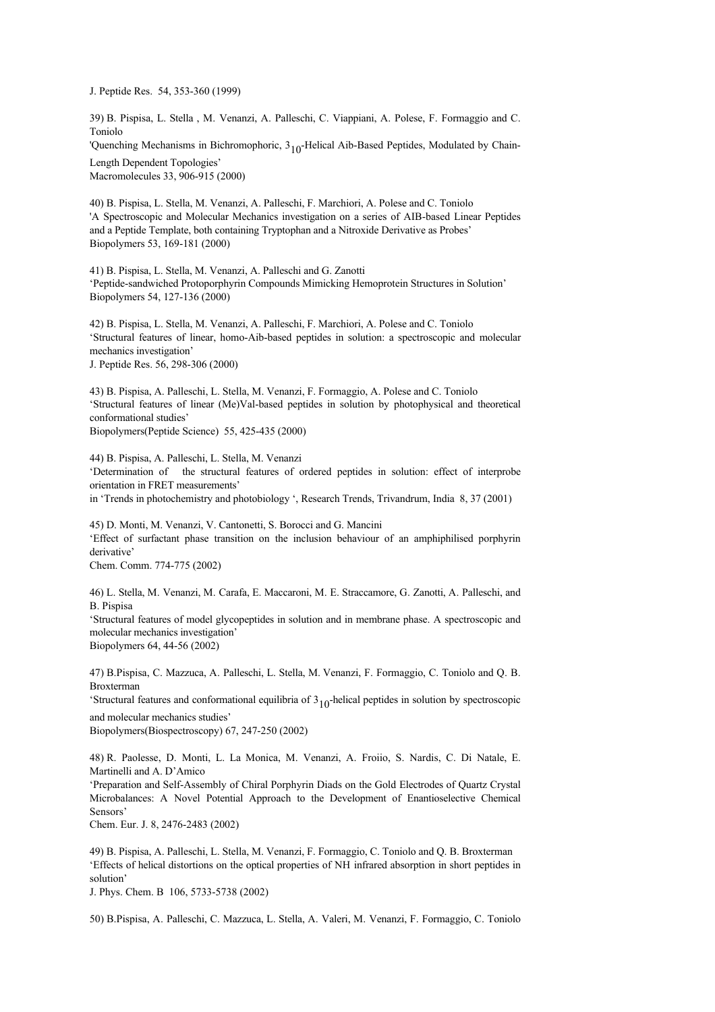J. Peptide Res. 54, 353-360 (1999)

39) B. Pispisa, L. Stella , M. Venanzi, A. Palleschi, C. Viappiani, A. Polese, F. Formaggio and C. Toniolo

'Quenching Mechanisms in Bichromophoric, 3<sub>10</sub>-Helical Aib-Based Peptides, Modulated by Chain-Length Dependent Topologies'

Macromolecules 33, 906-915 (2000)

40) B. Pispisa, L. Stella, M. Venanzi, A. Palleschi, F. Marchiori, A. Polese and C. Toniolo 'A Spectroscopic and Molecular Mechanics investigation on a series of AIB-based Linear Peptides and a Peptide Template, both containing Tryptophan and a Nitroxide Derivative as Probes' Biopolymers 53, 169-181 (2000)

41) B. Pispisa, L. Stella, M. Venanzi, A. Palleschi and G. Zanotti 'Peptide-sandwiched Protoporphyrin Compounds Mimicking Hemoprotein Structures in Solution' Biopolymers 54, 127-136 (2000)

42) B. Pispisa, L. Stella, M. Venanzi, A. Palleschi, F. Marchiori, A. Polese and C. Toniolo 'Structural features of linear, homo-Aib-based peptides in solution: a spectroscopic and molecular mechanics investigation' J. Peptide Res. 56, 298-306 (2000)

43) B. Pispisa, A. Palleschi, L. Stella, M. Venanzi, F. Formaggio, A. Polese and C. Toniolo 'Structural features of linear (Me)Val-based peptides in solution by photophysical and theoretical conformational studies' Biopolymers(Peptide Science) 55, 425-435 (2000)

44) B. Pispisa, A. Palleschi, L. Stella, M. Venanzi 'Determination of the structural features of ordered peptides in solution: effect of interprobe orientation in FRET measurements' in 'Trends in photochemistry and photobiology ', Research Trends, Trivandrum, India 8, 37 (2001)

45) D. Monti, M. Venanzi, V. Cantonetti, S. Borocci and G. Mancini 'Effect of surfactant phase transition on the inclusion behaviour of an amphiphilised porphyrin derivative' Chem. Comm. 774-775 (2002)

46) L. Stella, M. Venanzi, M. Carafa, E. Maccaroni, M. E. Straccamore, G. Zanotti, A. Palleschi, and B. Pispisa

'Structural features of model glycopeptides in solution and in membrane phase. A spectroscopic and molecular mechanics investigation'

Biopolymers 64, 44-56 (2002)

47) B.Pispisa, C. Mazzuca, A. Palleschi, L. Stella, M. Venanzi, F. Formaggio, C. Toniolo and Q. B. Broxterman

'Structural features and conformational equilibria of  $3<sub>10</sub>$ -helical peptides in solution by spectroscopic and molecular mechanics studies'

Biopolymers(Biospectroscopy) 67, 247-250 (2002)

48) R. Paolesse, D. Monti, L. La Monica, M. Venanzi, A. Froiio, S. Nardis, C. Di Natale, E. Martinelli and A. D'Amico

'Preparation and Self-Assembly of Chiral Porphyrin Diads on the Gold Electrodes of Quartz Crystal Microbalances: A Novel Potential Approach to the Development of Enantioselective Chemical Sensors'

Chem. Eur. J. 8, 2476-2483 (2002)

49) B. Pispisa, A. Palleschi, L. Stella, M. Venanzi, F. Formaggio, C. Toniolo and Q. B. Broxterman 'Effects of helical distortions on the optical properties of NH infrared absorption in short peptides in solution'

J. Phys. Chem. B 106, 5733-5738 (2002)

50) B.Pispisa, A. Palleschi, C. Mazzuca, L. Stella, A. Valeri, M. Venanzi, F. Formaggio, C. Toniolo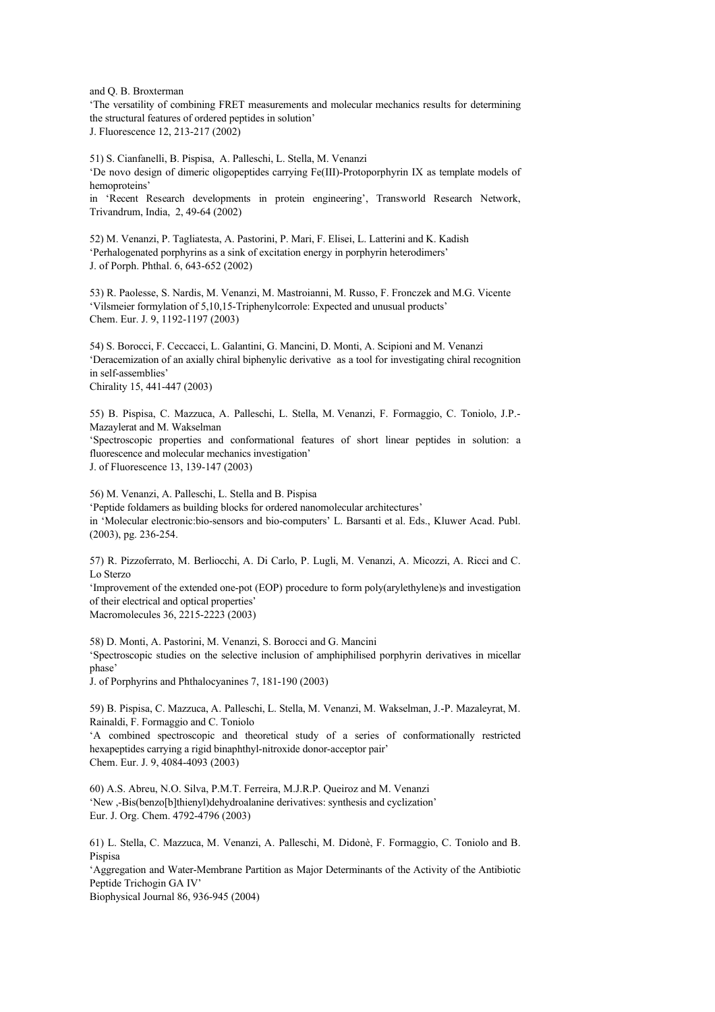and Q. B. Broxterman

'The versatility of combining FRET measurements and molecular mechanics results for determining the structural features of ordered peptides in solution' J. Fluorescence 12, 213-217 (2002)

51) S. Cianfanelli, B. Pispisa, A. Palleschi, L. Stella, M. Venanzi 'De novo design of dimeric oligopeptides carrying Fe(III)-Protoporphyrin IX as template models of hemoproteins'

in 'Recent Research developments in protein engineering', Transworld Research Network, Trivandrum, India, 2, 49-64 (2002)

52) M. Venanzi, P. Tagliatesta, A. Pastorini, P. Mari, F. Elisei, L. Latterini and K. Kadish 'Perhalogenated porphyrins as a sink of excitation energy in porphyrin heterodimers' J. of Porph. Phthal. 6, 643-652 (2002)

53) R. Paolesse, S. Nardis, M. Venanzi, M. Mastroianni, M. Russo, F. Fronczek and M.G. Vicente 'Vilsmeier formylation of 5,10,15-Triphenylcorrole: Expected and unusual products' Chem. Eur. J. 9, 1192-1197 (2003)

54) S. Borocci, F. Ceccacci, L. Galantini, G. Mancini, D. Monti, A. Scipioni and M. Venanzi 'Deracemization of an axially chiral biphenylic derivative as a tool for investigating chiral recognition in self-assemblies' Chirality 15, 441-447 (2003)

55) B. Pispisa, C. Mazzuca, A. Palleschi, L. Stella, M. Venanzi, F. Formaggio, C. Toniolo, J.P.- Mazaylerat and M. Wakselman 'Spectroscopic properties and conformational features of short linear peptides in solution: a fluorescence and molecular mechanics investigation'

J. of Fluorescence 13, 139-147 (2003)

56) M. Venanzi, A. Palleschi, L. Stella and B. Pispisa 'Peptide foldamers as building blocks for ordered nanomolecular architectures'

in 'Molecular electronic:bio-sensors and bio-computers' L. Barsanti et al. Eds., Kluwer Acad. Publ. (2003), pg. 236-254.

57) R. Pizzoferrato, M. Berliocchi, A. Di Carlo, P. Lugli, M. Venanzi, A. Micozzi, A. Ricci and C. Lo Sterzo 'Improvement of the extended one-pot (EOP) procedure to form poly(arylethylene)s and investigation

of their electrical and optical properties'

Macromolecules 36, 2215-2223 (2003)

58) D. Monti, A. Pastorini, M. Venanzi, S. Borocci and G. Mancini 'Spectroscopic studies on the selective inclusion of amphiphilised porphyrin derivatives in micellar phase'

J. of Porphyrins and Phthalocyanines 7, 181-190 (2003)

59) B. Pispisa, C. Mazzuca, A. Palleschi, L. Stella, M. Venanzi, M. Wakselman, J.-P. Mazaleyrat, M. Rainaldi, F. Formaggio and C. Toniolo

'A combined spectroscopic and theoretical study of a series of conformationally restricted hexapeptides carrying a rigid binaphthyl-nitroxide donor-acceptor pair' Chem. Eur. J. 9, 4084-4093 (2003)

60) A.S. Abreu, N.O. Silva, P.M.T. Ferreira, M.J.R.P. Queiroz and M. Venanzi 'New ,-Bis(benzo[b]thienyl)dehydroalanine derivatives: synthesis and cyclization' Eur. J. Org. Chem. 4792-4796 (2003)

61) L. Stella, C. Mazzuca, M. Venanzi, A. Palleschi, M. Didonè, F. Formaggio, C. Toniolo and B. Pispisa

'Aggregation and Water-Membrane Partition as Major Determinants of the Activity of the Antibiotic Peptide Trichogin GA IV'

Biophysical Journal 86, 936-945 (2004)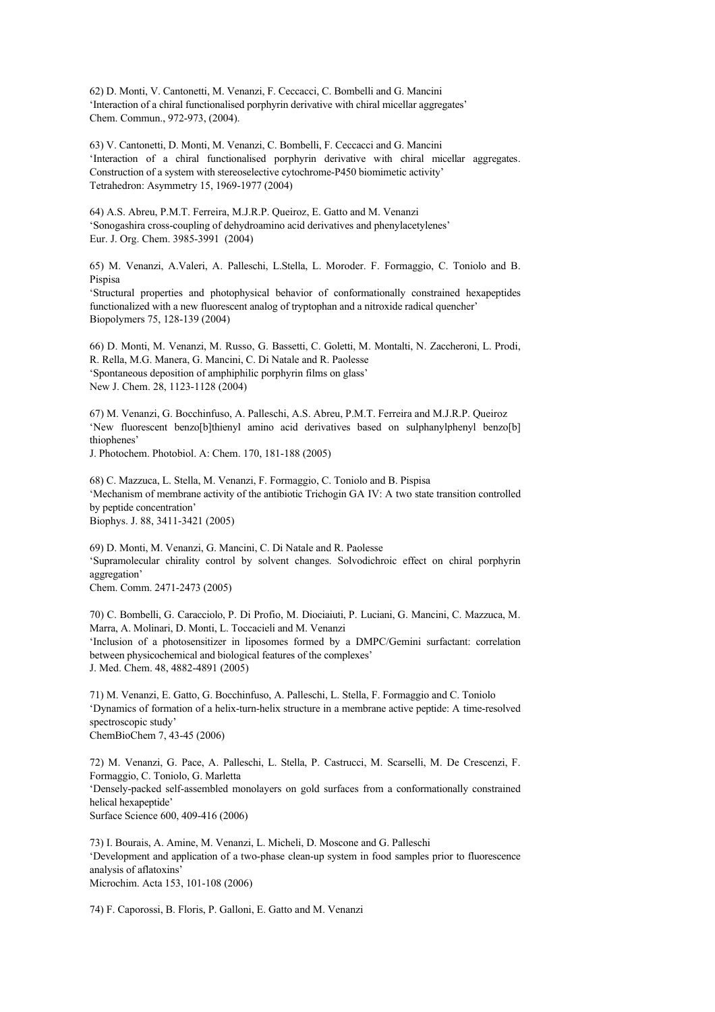62) D. Monti, V. Cantonetti, M. Venanzi, F. Ceccacci, C. Bombelli and G. Mancini 'Interaction of a chiral functionalised porphyrin derivative with chiral micellar aggregates' Chem. Commun., 972-973, (2004).

63) V. Cantonetti, D. Monti, M. Venanzi, C. Bombelli, F. Ceccacci and G. Mancini 'Interaction of a chiral functionalised porphyrin derivative with chiral micellar aggregates. Construction of a system with stereoselective cytochrome-P450 biomimetic activity' Tetrahedron: Asymmetry 15, 1969-1977 (2004)

64) A.S. Abreu, P.M.T. Ferreira, M.J.R.P. Queiroz, E. Gatto and M. Venanzi 'Sonogashira cross-coupling of dehydroamino acid derivatives and phenylacetylenes' Eur. J. Org. Chem. 3985-3991 (2004)

65) M. Venanzi, A.Valeri, A. Palleschi, L.Stella, L. Moroder. F. Formaggio, C. Toniolo and B. Pispisa

'Structural properties and photophysical behavior of conformationally constrained hexapeptides functionalized with a new fluorescent analog of tryptophan and a nitroxide radical quencher' Biopolymers 75, 128-139 (2004)

66) D. Monti, M. Venanzi, M. Russo, G. Bassetti, C. Goletti, M. Montalti, N. Zaccheroni, L. Prodi, R. Rella, M.G. Manera, G. Mancini, C. Di Natale and R. Paolesse 'Spontaneous deposition of amphiphilic porphyrin films on glass' New J. Chem. 28, 1123-1128 (2004)

67) M. Venanzi, G. Bocchinfuso, A. Palleschi, A.S. Abreu, P.M.T. Ferreira and M.J.R.P. Queiroz 'New fluorescent benzo[b]thienyl amino acid derivatives based on sulphanylphenyl benzo[b] thiophenes'

J. Photochem. Photobiol. A: Chem. 170, 181-188 (2005)

68) C. Mazzuca, L. Stella, M. Venanzi, F. Formaggio, C. Toniolo and B. Pispisa 'Mechanism of membrane activity of the antibiotic Trichogin GA IV: A two state transition controlled by peptide concentration' Biophys. J. 88, 3411-3421 (2005)

69) D. Monti, M. Venanzi, G. Mancini, C. Di Natale and R. Paolesse 'Supramolecular chirality control by solvent changes. Solvodichroic effect on chiral porphyrin aggregation' Chem. Comm. 2471-2473 (2005)

70) C. Bombelli, G. Caracciolo, P. Di Profio, M. Diociaiuti, P. Luciani, G. Mancini, C. Mazzuca, M. Marra, A. Molinari, D. Monti, L. Toccacieli and M. Venanzi 'Inclusion of a photosensitizer in liposomes formed by a DMPC/Gemini surfactant: correlation between physicochemical and biological features of the complexes' J. Med. Chem. 48, 4882-4891 (2005)

71) M. Venanzi, E. Gatto, G. Bocchinfuso, A. Palleschi, L. Stella, F. Formaggio and C. Toniolo 'Dynamics of formation of a helix-turn-helix structure in a membrane active peptide: A time-resolved spectroscopic study' ChemBioChem 7, 43-45 (2006)

72) M. Venanzi, G. Pace, A. Palleschi, L. Stella, P. Castrucci, M. Scarselli, M. De Crescenzi, F. Formaggio, C. Toniolo, G. Marletta 'Densely-packed self-assembled monolayers on gold surfaces from a conformationally constrained helical hexapeptide' Surface Science 600, 409-416 (2006)

73) I. Bourais, A. Amine, M. Venanzi, L. Micheli, D. Moscone and G. Palleschi 'Development and application of a two-phase clean-up system in food samples prior to fluorescence analysis of aflatoxins' Microchim. Acta 153, 101-108 (2006)

74) F. Caporossi, B. Floris, P. Galloni, E. Gatto and M. Venanzi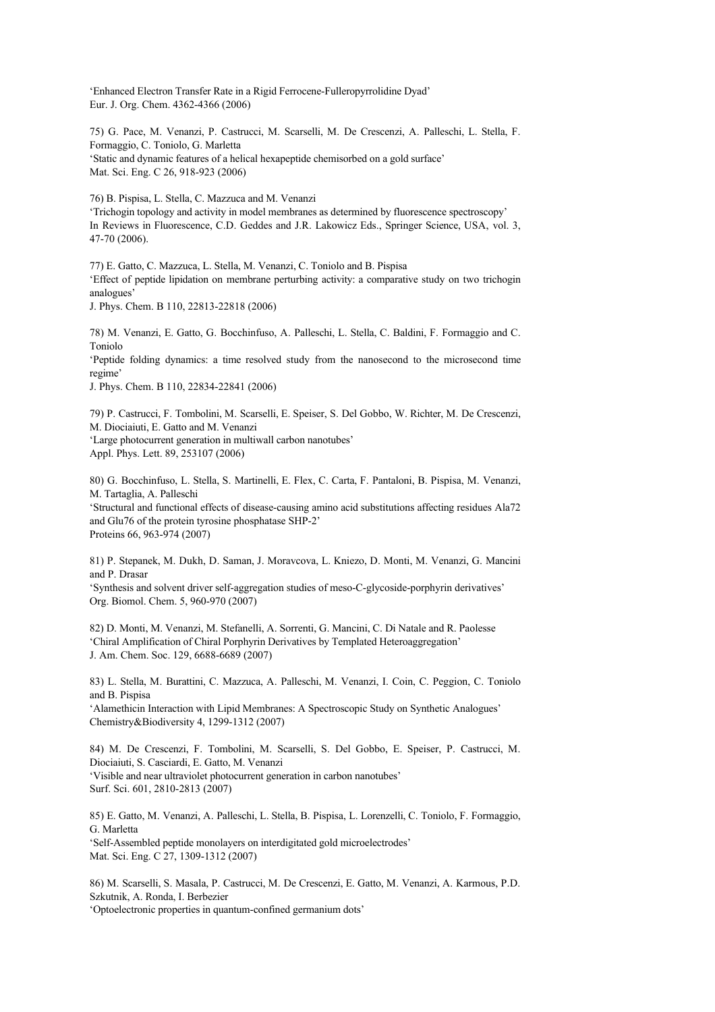'Enhanced Electron Transfer Rate in a Rigid Ferrocene-Fulleropyrrolidine Dyad' Eur. J. Org. Chem. 4362-4366 (2006)

75) G. Pace, M. Venanzi, P. Castrucci, M. Scarselli, M. De Crescenzi, A. Palleschi, L. Stella, F. Formaggio, C. Toniolo, G. Marletta 'Static and dynamic features of a helical hexapeptide chemisorbed on a gold surface' Mat. Sci. Eng. C 26, 918-923 (2006)

76) B. Pispisa, L. Stella, C. Mazzuca and M. Venanzi

'Trichogin topology and activity in model membranes as determined by fluorescence spectroscopy' In Reviews in Fluorescence, C.D. Geddes and J.R. Lakowicz Eds., Springer Science, USA, vol. 3, 47-70 (2006).

77) E. Gatto, C. Mazzuca, L. Stella, M. Venanzi, C. Toniolo and B. Pispisa 'Effect of peptide lipidation on membrane perturbing activity: a comparative study on two trichogin analogues'

J. Phys. Chem. B 110, 22813-22818 (2006)

78) M. Venanzi, E. Gatto, G. Bocchinfuso, A. Palleschi, L. Stella, C. Baldini, F. Formaggio and C. Toniolo

'Peptide folding dynamics: a time resolved study from the nanosecond to the microsecond time regime'

J. Phys. Chem. B 110, 22834-22841 (2006)

79) P. Castrucci, F. Tombolini, M. Scarselli, E. Speiser, S. Del Gobbo, W. Richter, M. De Crescenzi, M. Diociaiuti, E. Gatto and M. Venanzi 'Large photocurrent generation in multiwall carbon nanotubes' Appl. Phys. Lett. 89, 253107 (2006)

80) G. Bocchinfuso, L. Stella, S. Martinelli, E. Flex, C. Carta, F. Pantaloni, B. Pispisa, M. Venanzi, M. Tartaglia, A. Palleschi 'Structural and functional effects of disease-causing amino acid substitutions affecting residues Ala72 and Glu76 of the protein tyrosine phosphatase SHP-2'

Proteins 66, 963-974 (2007)

81) P. Stepanek, M. Dukh, D. Saman, J. Moravcova, L. Kniezo, D. Monti, M. Venanzi, G. Mancini and P. Drasar 'Synthesis and solvent driver self-aggregation studies of meso-C-glycoside-porphyrin derivatives' Org. Biomol. Chem. 5, 960-970 (2007)

82) D. Monti, M. Venanzi, M. Stefanelli, A. Sorrenti, G. Mancini, C. Di Natale and R. Paolesse 'Chiral Amplification of Chiral Porphyrin Derivatives by Templated Heteroaggregation' J. Am. Chem. Soc. 129, 6688-6689 (2007)

83) L. Stella, M. Burattini, C. Mazzuca, A. Palleschi, M. Venanzi, I. Coin, C. Peggion, C. Toniolo and B. Pispisa

'Alamethicin Interaction with Lipid Membranes: A Spectroscopic Study on Synthetic Analogues' Chemistry&Biodiversity 4, 1299-1312 (2007)

84) M. De Crescenzi, F. Tombolini, M. Scarselli, S. Del Gobbo, E. Speiser, P. Castrucci, M. Diociaiuti, S. Casciardi, E. Gatto, M. Venanzi 'Visible and near ultraviolet photocurrent generation in carbon nanotubes' Surf. Sci. 601, 2810-2813 (2007)

85) E. Gatto, M. Venanzi, A. Palleschi, L. Stella, B. Pispisa, L. Lorenzelli, C. Toniolo, F. Formaggio, G. Marletta 'Self-Assembled peptide monolayers on interdigitated gold microelectrodes' Mat. Sci. Eng. C 27, 1309-1312 (2007)

86) M. Scarselli, S. Masala, P. Castrucci, M. De Crescenzi, E. Gatto, M. Venanzi, A. Karmous, P.D. Szkutnik, A. Ronda, I. Berbezier

'Optoelectronic properties in quantum-confined germanium dots'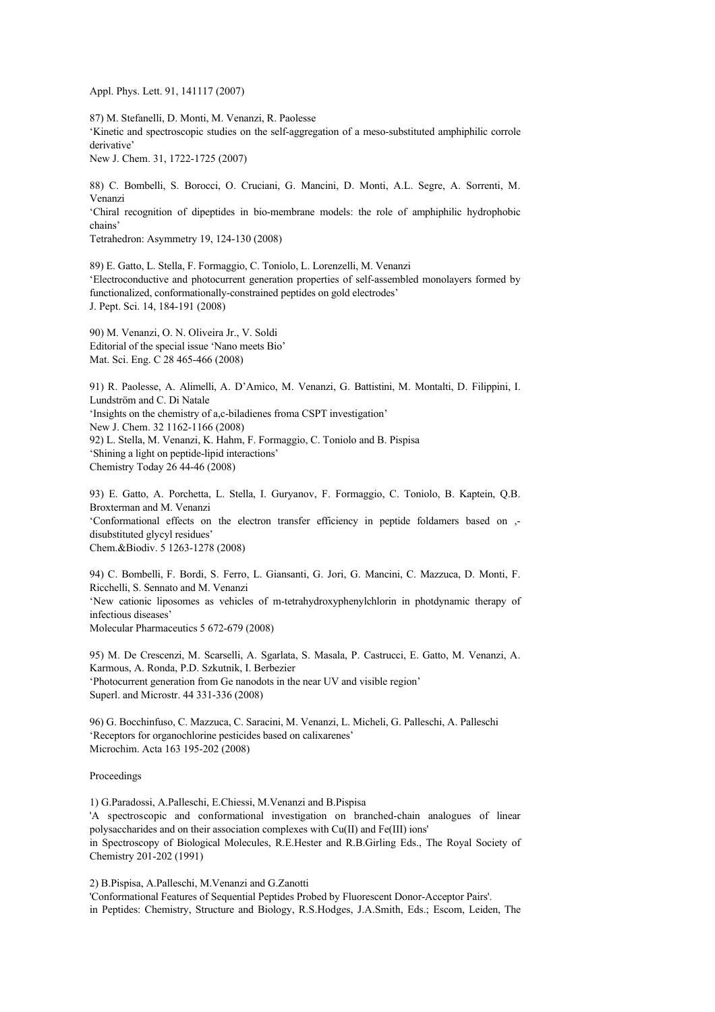Appl. Phys. Lett. 91, 141117 (2007)

87) M. Stefanelli, D. Monti, M. Venanzi, R. Paolesse 'Kinetic and spectroscopic studies on the self-aggregation of a meso-substituted amphiphilic corrole derivative' New J. Chem. 31, 1722-1725 (2007)

88) C. Bombelli, S. Borocci, O. Cruciani, G. Mancini, D. Monti, A.L. Segre, A. Sorrenti, M. Venanzi 'Chiral recognition of dipeptides in bio-membrane models: the role of amphiphilic hydrophobic chains' Tetrahedron: Asymmetry 19, 124-130 (2008)

89) E. Gatto, L. Stella, F. Formaggio, C. Toniolo, L. Lorenzelli, M. Venanzi 'Electroconductive and photocurrent generation properties of self-assembled monolayers formed by functionalized, conformationally-constrained peptides on gold electrodes' J. Pept. Sci. 14, 184-191 (2008)

90) M. Venanzi, O. N. Oliveira Jr., V. Soldi Editorial of the special issue 'Nano meets Bio' Mat. Sci. Eng. C 28 465-466 (2008)

91) R. Paolesse, A. Alimelli, A. D'Amico, M. Venanzi, G. Battistini, M. Montalti, D. Filippini, I. Lundström and C. Di Natale 'Insights on the chemistry of a,c-biladienes froma CSPT investigation' New J. Chem. 32 1162-1166 (2008) 92) L. Stella, M. Venanzi, K. Hahm, F. Formaggio, C. Toniolo and B. Pispisa 'Shining a light on peptide-lipid interactions' Chemistry Today 26 44-46 (2008)

93) E. Gatto, A. Porchetta, L. Stella, I. Guryanov, F. Formaggio, C. Toniolo, B. Kaptein, Q.B. Broxterman and M. Venanzi 'Conformational effects on the electron transfer efficiency in peptide foldamers based on , disubstituted glycyl residues' Chem.&Biodiv. 5 1263-1278 (2008)

94) C. Bombelli, F. Bordi, S. Ferro, L. Giansanti, G. Jori, G. Mancini, C. Mazzuca, D. Monti, F. Ricchelli, S. Sennato and M. Venanzi 'New cationic liposomes as vehicles of m-tetrahydroxyphenylchlorin in photdynamic therapy of infectious diseases' Molecular Pharmaceutics 5 672-679 (2008)

95) M. De Crescenzi, M. Scarselli, A. Sgarlata, S. Masala, P. Castrucci, E. Gatto, M. Venanzi, A. Karmous, A. Ronda, P.D. Szkutnik, I. Berbezier 'Photocurrent generation from Ge nanodots in the near UV and visible region' Superl. and Microstr. 44 331-336 (2008)

96) G. Bocchinfuso, C. Mazzuca, C. Saracini, M. Venanzi, L. Micheli, G. Palleschi, A. Palleschi 'Receptors for organochlorine pesticides based on calixarenes' Microchim. Acta 163 195-202 (2008)

## Proceedings

1) G.Paradossi, A.Palleschi, E.Chiessi, M.Venanzi and B.Pispisa 'A spectroscopic and conformational investigation on branched-chain analogues of linear polysaccharides and on their association complexes with Cu(II) and Fe(III) ions' in Spectroscopy of Biological Molecules, R.E.Hester and R.B.Girling Eds., The Royal Society of Chemistry 201-202 (1991)

2) B.Pispisa, A.Palleschi, M.Venanzi and G.Zanotti 'Conformational Features of Sequential Peptides Probed by Fluorescent Donor-Acceptor Pairs'. in Peptides: Chemistry, Structure and Biology, R.S.Hodges, J.A.Smith, Eds.; Escom, Leiden, The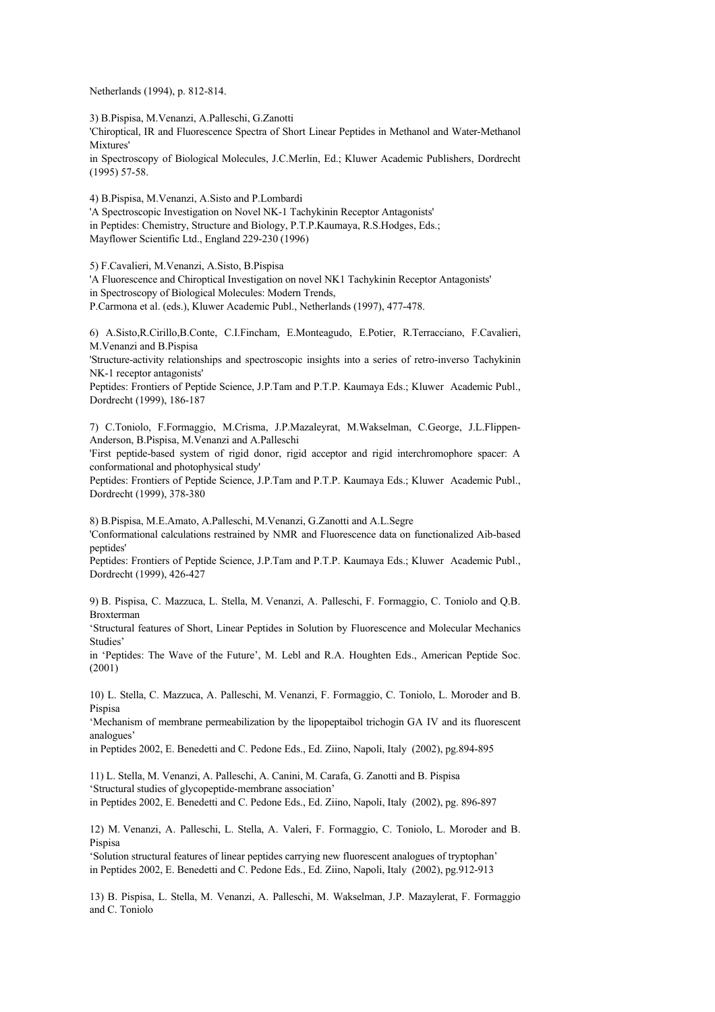Netherlands (1994), p. 812-814.

3) B.Pispisa, M.Venanzi, A.Palleschi, G.Zanotti

'Chiroptical, IR and Fluorescence Spectra of Short Linear Peptides in Methanol and Water-Methanol Mixtures'

in Spectroscopy of Biological Molecules, J.C.Merlin, Ed.; Kluwer Academic Publishers, Dordrecht (1995) 57-58.

4) B.Pispisa, M.Venanzi, A.Sisto and P.Lombardi

'A Spectroscopic Investigation on Novel NK-1 Tachykinin Receptor Antagonists' in Peptides: Chemistry, Structure and Biology, P.T.P.Kaumaya, R.S.Hodges, Eds.; Mayflower Scientific Ltd., England 229-230 (1996)

5) F.Cavalieri, M.Venanzi, A.Sisto, B.Pispisa

'A Fluorescence and Chiroptical Investigation on novel NK1 Tachykinin Receptor Antagonists' in Spectroscopy of Biological Molecules: Modern Trends,

P.Carmona et al. (eds.), Kluwer Academic Publ., Netherlands (1997), 477-478.

6) A.Sisto,R.Cirillo,B.Conte, C.I.Fincham, E.Monteagudo, E.Potier, R.Terracciano, F.Cavalieri, M.Venanzi and B.Pispisa

'Structure-activity relationships and spectroscopic insights into a series of retro-inverso Tachykinin NK-1 receptor antagonists'

Peptides: Frontiers of Peptide Science, J.P.Tam and P.T.P. Kaumaya Eds.; Kluwer Academic Publ., Dordrecht (1999), 186-187

7) C.Toniolo, F.Formaggio, M.Crisma, J.P.Mazaleyrat, M.Wakselman, C.George, J.L.Flippen-Anderson, B.Pispisa, M.Venanzi and A.Palleschi

'First peptide-based system of rigid donor, rigid acceptor and rigid interchromophore spacer: A conformational and photophysical study'

Peptides: Frontiers of Peptide Science, J.P.Tam and P.T.P. Kaumaya Eds.; Kluwer Academic Publ., Dordrecht (1999), 378-380

8) B.Pispisa, M.E.Amato, A.Palleschi, M.Venanzi, G.Zanotti and A.L.Segre

'Conformational calculations restrained by NMR and Fluorescence data on functionalized Aib-based peptides'

Peptides: Frontiers of Peptide Science, J.P.Tam and P.T.P. Kaumaya Eds.; Kluwer Academic Publ., Dordrecht (1999), 426-427

9) B. Pispisa, C. Mazzuca, L. Stella, M. Venanzi, A. Palleschi, F. Formaggio, C. Toniolo and Q.B. Broxterman

'Structural features of Short, Linear Peptides in Solution by Fluorescence and Molecular Mechanics Studies'

in 'Peptides: The Wave of the Future', M. Lebl and R.A. Houghten Eds., American Peptide Soc. (2001)

10) L. Stella, C. Mazzuca, A. Palleschi, M. Venanzi, F. Formaggio, C. Toniolo, L. Moroder and B. Pispisa

'Mechanism of membrane permeabilization by the lipopeptaibol trichogin GA IV and its fluorescent analogues'

in Peptides 2002, E. Benedetti and C. Pedone Eds., Ed. Ziino, Napoli, Italy (2002), pg.894-895

11) L. Stella, M. Venanzi, A. Palleschi, A. Canini, M. Carafa, G. Zanotti and B. Pispisa 'Structural studies of glycopeptide-membrane association' in Peptides 2002, E. Benedetti and C. Pedone Eds., Ed. Ziino, Napoli, Italy (2002), pg. 896-897

12) M. Venanzi, A. Palleschi, L. Stella, A. Valeri, F. Formaggio, C. Toniolo, L. Moroder and B. Pispisa

'Solution structural features of linear peptides carrying new fluorescent analogues of tryptophan' in Peptides 2002, E. Benedetti and C. Pedone Eds., Ed. Ziino, Napoli, Italy (2002), pg.912-913

13) B. Pispisa, L. Stella, M. Venanzi, A. Palleschi, M. Wakselman, J.P. Mazaylerat, F. Formaggio and C. Toniolo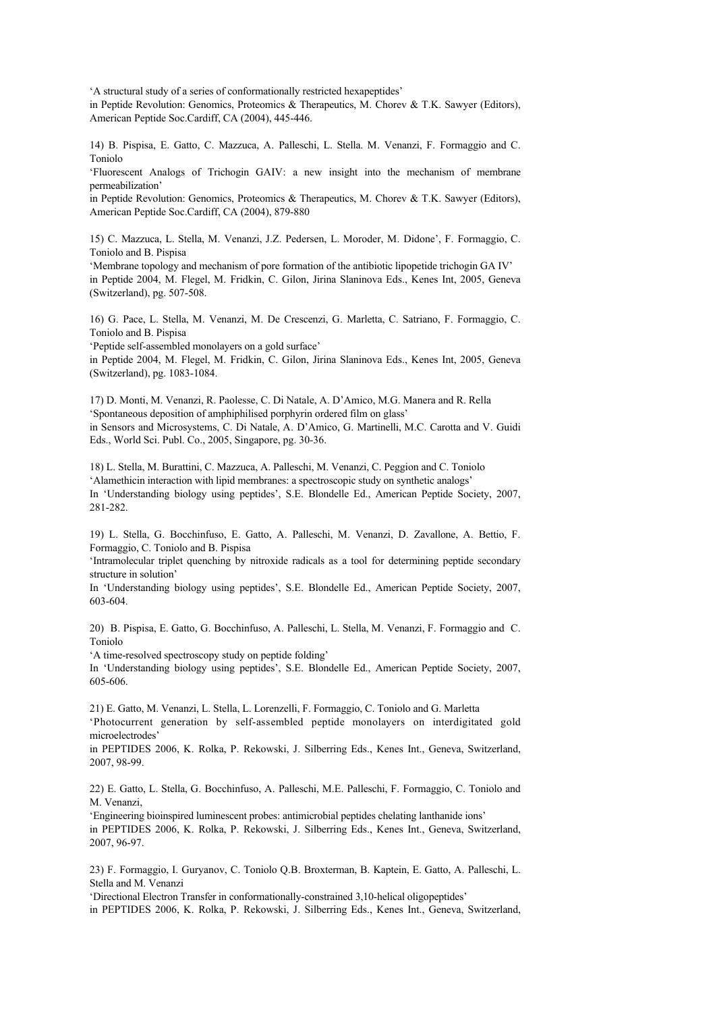'A structural study of a series of conformationally restricted hexapeptides'

in Peptide Revolution: Genomics, Proteomics & Therapeutics, M. Chorev & T.K. Sawyer (Editors), American Peptide Soc.Cardiff, CA (2004), 445-446.

14) B. Pispisa, E. Gatto, C. Mazzuca, A. Palleschi, L. Stella. M. Venanzi, F. Formaggio and C. Toniolo

'Fluorescent Analogs of Trichogin GAIV: a new insight into the mechanism of membrane permeabilization'

in Peptide Revolution: Genomics, Proteomics & Therapeutics, M. Chorev & T.K. Sawyer (Editors), American Peptide Soc.Cardiff, CA (2004), 879-880

15) C. Mazzuca, L. Stella, M. Venanzi, J.Z. Pedersen, L. Moroder, M. Didone', F. Formaggio, C. Toniolo and B. Pispisa

'Membrane topology and mechanism of pore formation of the antibiotic lipopetide trichogin GA IV' in Peptide 2004, M. Flegel, M. Fridkin, C. Gilon, Jirina Slaninova Eds., Kenes Int, 2005, Geneva (Switzerland), pg. 507-508.

16) G. Pace, L. Stella, M. Venanzi, M. De Crescenzi, G. Marletta, C. Satriano, F. Formaggio, C. Toniolo and B. Pispisa

'Peptide self-assembled monolayers on a gold surface'

in Peptide 2004, M. Flegel, M. Fridkin, C. Gilon, Jirina Slaninova Eds., Kenes Int, 2005, Geneva (Switzerland), pg. 1083-1084.

17) D. Monti, M. Venanzi, R. Paolesse, C. Di Natale, A. D'Amico, M.G. Manera and R. Rella 'Spontaneous deposition of amphiphilised porphyrin ordered film on glass' in Sensors and Microsystems, C. Di Natale, A. D'Amico, G. Martinelli, M.C. Carotta and V. Guidi Eds., World Sci. Publ. Co., 2005, Singapore, pg. 30-36.

18) L. Stella, M. Burattini, C. Mazzuca, A. Palleschi, M. Venanzi, C. Peggion and C. Toniolo 'Alamethicin interaction with lipid membranes: a spectroscopic study on synthetic analogs' In 'Understanding biology using peptides', S.E. Blondelle Ed., American Peptide Society, 2007, 281-282.

19) L. Stella, G. Bocchinfuso, E. Gatto, A. Palleschi, M. Venanzi, D. Zavallone, A. Bettio, F. Formaggio, C. Toniolo and B. Pispisa

'Intramolecular triplet quenching by nitroxide radicals as a tool for determining peptide secondary structure in solution'

In 'Understanding biology using peptides', S.E. Blondelle Ed., American Peptide Society, 2007, 603-604.

20) B. Pispisa, E. Gatto, G. Bocchinfuso, A. Palleschi, L. Stella, M. Venanzi, F. Formaggio and C. Toniolo

'A time-resolved spectroscopy study on peptide folding'

In 'Understanding biology using peptides', S.E. Blondelle Ed., American Peptide Society, 2007, 605-606.

21) E. Gatto, M. Venanzi, L. Stella, L. Lorenzelli, F. Formaggio, C. Toniolo and G. Marletta 'Photocurrent generation by self-assembled peptide monolayers on interdigitated gold microelectrodes'

in PEPTIDES 2006, K. Rolka, P. Rekowski, J. Silberring Eds., Kenes Int., Geneva, Switzerland, 2007, 98-99.

22) E. Gatto, L. Stella, G. Bocchinfuso, A. Palleschi, M.E. Palleschi, F. Formaggio, C. Toniolo and M. Venanzi,

'Engineering bioinspired luminescent probes: antimicrobial peptides chelating lanthanide ions' in PEPTIDES 2006, K. Rolka, P. Rekowski, J. Silberring Eds., Kenes Int., Geneva, Switzerland, 2007, 96-97.

23) F. Formaggio, I. Guryanov, C. Toniolo Q.B. Broxterman, B. Kaptein, E. Gatto, A. Palleschi, L. Stella and M. Venanzi

'Directional Electron Transfer in conformationally-constrained 3,10-helical oligopeptides' in PEPTIDES 2006, K. Rolka, P. Rekowski, J. Silberring Eds., Kenes Int., Geneva, Switzerland,